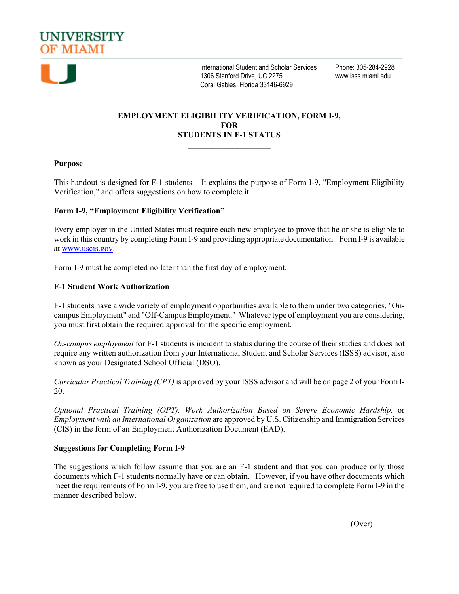



International Student and Scholar Services Phone: 305-284-2928 1306 Stanford Drive, UC 2275 www.isss.miami.edu Coral Gables, Florida 33146-6929

# **EMPLOYMENT ELIGIBILITY VERIFICATION, FORM I-9, FOR STUDENTS IN F-1 STATUS**

**\_\_\_\_\_\_\_\_\_\_\_\_\_\_\_\_\_\_\_\_**

# **Purpose**

This handout is designed for F-1 students. It explains the purpose of Form I-9, "Employment Eligibility Verification," and offers suggestions on how to complete it.

# **Form I-9, "Employment Eligibility Verification"**

Every employer in the United States must require each new employee to prove that he or she is eligible to work in this country by completing Form I-9 and providing appropriate documentation. Form I-9 is available at [www.uscis.gov.](http://www.uscis.gov/)

Form I-9 must be completed no later than the first day of employment.

# **F-1 Student Work Authorization**

F-1 students have a wide variety of employment opportunities available to them under two categories, "Oncampus Employment" and "Off-Campus Employment." Whatever type of employment you are considering, you must first obtain the required approval for the specific employment.

*On-campus employment* for F-1 students is incident to status during the course of their studies and does not require any written authorization from your International Student and Scholar Services (ISSS) advisor, also known as your Designated School Official (DSO).

*Curricular Practical Training (CPT)* is approved by your ISSS advisor and will be on page 2 of your Form I-20.

*Optional Practical Training (OPT), Work Authorization Based on Severe Economic Hardship,* or *Employment with an International Organization* are approved by U.S. Citizenship and Immigration Services (CIS) in the form of an Employment Authorization Document (EAD).

### **Suggestions for Completing Form I-9**

The suggestions which follow assume that you are an F-1 student and that you can produce only those documents which F-1 students normally have or can obtain. However, if you have other documents which meet the requirements of Form I-9, you are free to use them, and are not required to complete Form I-9 in the manner described below.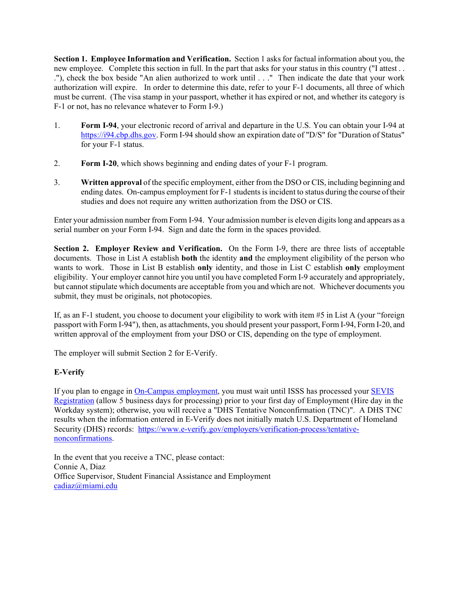**Section 1. Employee Information and Verification.** Section 1 asks for factual information about you, the new employee. Complete this section in full. In the part that asks for your status in this country ("I attest . . ."), check the box beside "An alien authorized to work until . . ." Then indicate the date that your work authorization will expire. In order to determine this date, refer to your F-1 documents, all three of which must be current. (The visa stamp in your passport, whether it has expired or not, and whether its category is F-1 or not, has no relevance whatever to Form I-9.)

- 1. **Form I-94**, your electronic record of arrival and departure in the U.S. You can obtain your I-94 at [https://i94.cbp.dhs.gov.](https://i94.cbp.dhs.gov/) Form I-94 should show an expiration date of "D/S" for "Duration of Status" for your F-1 status.
- 2. **Form I-20**, which shows beginning and ending dates of your F-1 program.
- 3. **Written approval** of the specific employment, either from the DSO or CIS, including beginning and ending dates. On-campus employment for F-1 students is incident to status during the course of their studies and does not require any written authorization from the DSO or CIS.

Enter your admission number from Form I-94. Your admission number is eleven digits long and appears as a serial number on your Form I-94. Sign and date the form in the spaces provided.

**Section 2. Employer Review and Verification.** On the Form I-9, there are three lists of acceptable documents. Those in List A establish **both** the identity **and** the employment eligibility of the person who wants to work. Those in List B establish **only** identity, and those in List C establish **only** employment eligibility. Your employer cannot hire you until you have completed Form I-9 accurately and appropriately, but cannot stipulate which documents are acceptable from you and which are not. Whichever documents you submit, they must be originals, not photocopies.

If, as an F-1 student, you choose to document your eligibility to work with item #5 in List A (your "foreign passport with Form I-94"), then, as attachments, you should present your passport, Form I-94, Form I-20, and written approval of the employment from your DSO or CIS, depending on the type of employment.

The employer will submit Section 2 for E-Verify.

# **E-Verify**

If you plan to engage in [On-Campus employment,](https://finaid.miami.edu/student-employment/) you must wait until ISSS has processed your [SEVIS](https://isss.miami.edu/students/important-links-for-international-students/index.html)  [Registration](https://isss.miami.edu/students/important-links-for-international-students/index.html) (allow 5 business days for processing) prior to your first day of Employment (Hire day in the Workday system); otherwise, you will receive a "DHS Tentative Nonconfirmation (TNC)". A DHS TNC results when the information entered in E-Verify does not initially match U.S. Department of Homeland Security (DHS) records: [https://www.e-verify.gov/employers/verification-process/tentative](https://www.e-verify.gov/employers/verification-process/tentative-nonconfirmations)[nonconfirmations.](https://www.e-verify.gov/employers/verification-process/tentative-nonconfirmations)

In the event that you receive a TNC, please contact: Connie A, Diaz Office Supervisor, Student Financial Assistance and Employment [cadiaz@miami.edu](mailto:cadiaz@miami.edu)